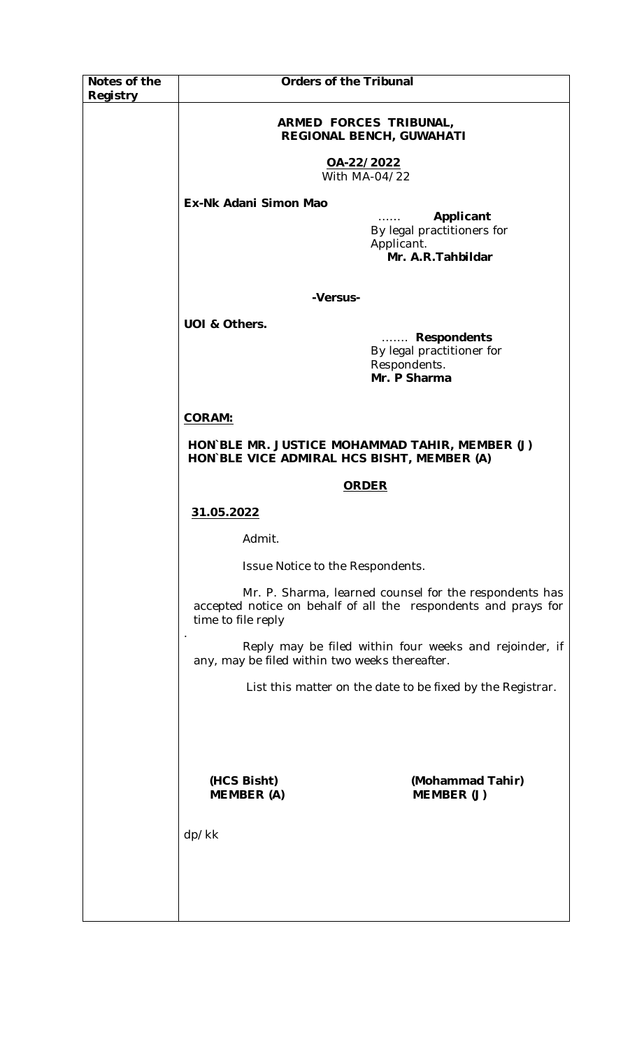| Notes of the<br>Registry | <b>Orders of the Tribunal</b>                                                                            |                                                                                                                          |
|--------------------------|----------------------------------------------------------------------------------------------------------|--------------------------------------------------------------------------------------------------------------------------|
|                          | ARMED FORCES TRIBUNAL,<br>REGIONAL BENCH, GUWAHATI                                                       |                                                                                                                          |
|                          | OA-22/2022<br>With MA-04/22                                                                              |                                                                                                                          |
|                          | Ex-Nk Adani Simon Mao                                                                                    | Applicant<br>By legal practitioners for<br>Applicant.<br>Mr. A.R. Tahbildar                                              |
|                          | -Versus-                                                                                                 |                                                                                                                          |
|                          | UOI & Others.                                                                                            | <b>Respondents</b><br>1.1.1.1.1.1<br>By legal practitioner for<br>Respondents.<br>Mr. P Sharma                           |
|                          | <b>CORAM:</b>                                                                                            |                                                                                                                          |
|                          | HON BLE MR. JUSTICE MOHAMMAD TAHIR, MEMBER (J)<br>HON BLE VICE ADMIRAL HCS BISHT, MEMBER (A)             |                                                                                                                          |
|                          | <b>ORDER</b>                                                                                             |                                                                                                                          |
|                          | 31.05.2022                                                                                               |                                                                                                                          |
|                          | Admit.                                                                                                   |                                                                                                                          |
|                          | Issue Notice to the Respondents.                                                                         |                                                                                                                          |
|                          | time to file reply                                                                                       | Mr. P. Sharma, learned counsel for the respondents has<br>accepted notice on behalf of all the respondents and prays for |
|                          | Reply may be filed within four weeks and rejoinder, if<br>any, may be filed within two weeks thereafter. |                                                                                                                          |
|                          | List this matter on the date to be fixed by the Registrar.                                               |                                                                                                                          |
|                          |                                                                                                          |                                                                                                                          |
|                          | (HCS Bisht)<br><b>MEMBER (A)</b>                                                                         | (Mohammad Tahir)<br>MEMBER (J)                                                                                           |
|                          | dp/kk                                                                                                    |                                                                                                                          |
|                          |                                                                                                          |                                                                                                                          |
|                          |                                                                                                          |                                                                                                                          |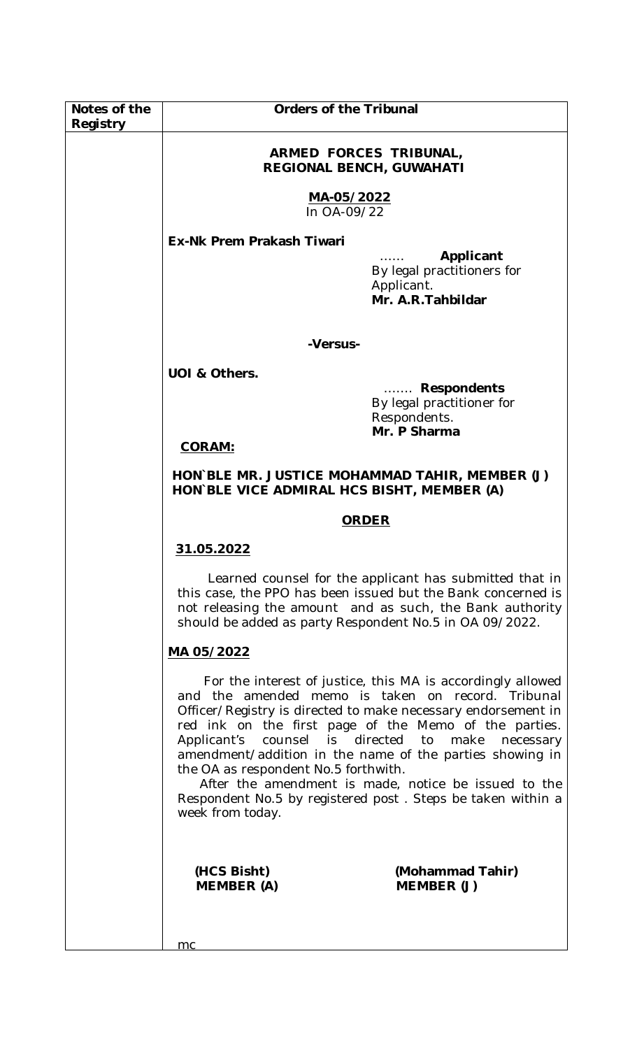| Notes of the<br>Registry | <b>Orders of the Tribunal</b>                                                                |                                                                                                                                                                                                                                                                                                                                                                             |
|--------------------------|----------------------------------------------------------------------------------------------|-----------------------------------------------------------------------------------------------------------------------------------------------------------------------------------------------------------------------------------------------------------------------------------------------------------------------------------------------------------------------------|
|                          | ARMED FORCES TRIBUNAL,<br><b>REGIONAL BENCH, GUWAHATI</b>                                    |                                                                                                                                                                                                                                                                                                                                                                             |
|                          | MA-05/2022<br>In OA-09/22                                                                    |                                                                                                                                                                                                                                                                                                                                                                             |
|                          | <b>Ex-Nk Prem Prakash Tiwari</b>                                                             |                                                                                                                                                                                                                                                                                                                                                                             |
|                          |                                                                                              | Applicant<br>By legal practitioners for<br>Applicant.<br>Mr. A.R. Tahbildar                                                                                                                                                                                                                                                                                                 |
|                          | -Versus-                                                                                     |                                                                                                                                                                                                                                                                                                                                                                             |
|                          | UOI & Others.                                                                                | <b>Respondents</b><br>By legal practitioner for<br>Respondents.<br>Mr. P Sharma                                                                                                                                                                                                                                                                                             |
|                          | <b>CORAM:</b>                                                                                |                                                                                                                                                                                                                                                                                                                                                                             |
|                          | HON BLE MR. JUSTICE MOHAMMAD TAHIR, MEMBER (J)<br>HON BLE VICE ADMIRAL HCS BISHT, MEMBER (A) |                                                                                                                                                                                                                                                                                                                                                                             |
|                          | <b>ORDER</b>                                                                                 |                                                                                                                                                                                                                                                                                                                                                                             |
|                          | 31.05.2022                                                                                   |                                                                                                                                                                                                                                                                                                                                                                             |
|                          | should be added as party Respondent No.5 in OA 09/2022.                                      | Learned counsel for the applicant has submitted that in<br>this case, the PPO has been issued but the Bank concerned is<br>not releasing the amount and as such, the Bank authority                                                                                                                                                                                         |
|                          | MA 05/2022                                                                                   |                                                                                                                                                                                                                                                                                                                                                                             |
|                          | Applicant's counsel is directed to make<br>the OA as respondent No.5 forthwith.              | For the interest of justice, this MA is accordingly allowed<br>and the amended memo is taken on record. Tribunal<br>Officer/Registry is directed to make necessary endorsement in<br>red ink on the first page of the Memo of the parties.<br>necessary<br>amendment/addition in the name of the parties showing in<br>After the amendment is made, notice be issued to the |
|                          | week from today.                                                                             | Respondent No.5 by registered post. Steps be taken within a                                                                                                                                                                                                                                                                                                                 |
|                          | (HCS Bisht)<br><b>MEMBER (A)</b>                                                             | (Mohammad Tahir)<br>MEMBER (J)                                                                                                                                                                                                                                                                                                                                              |
|                          | mc                                                                                           |                                                                                                                                                                                                                                                                                                                                                                             |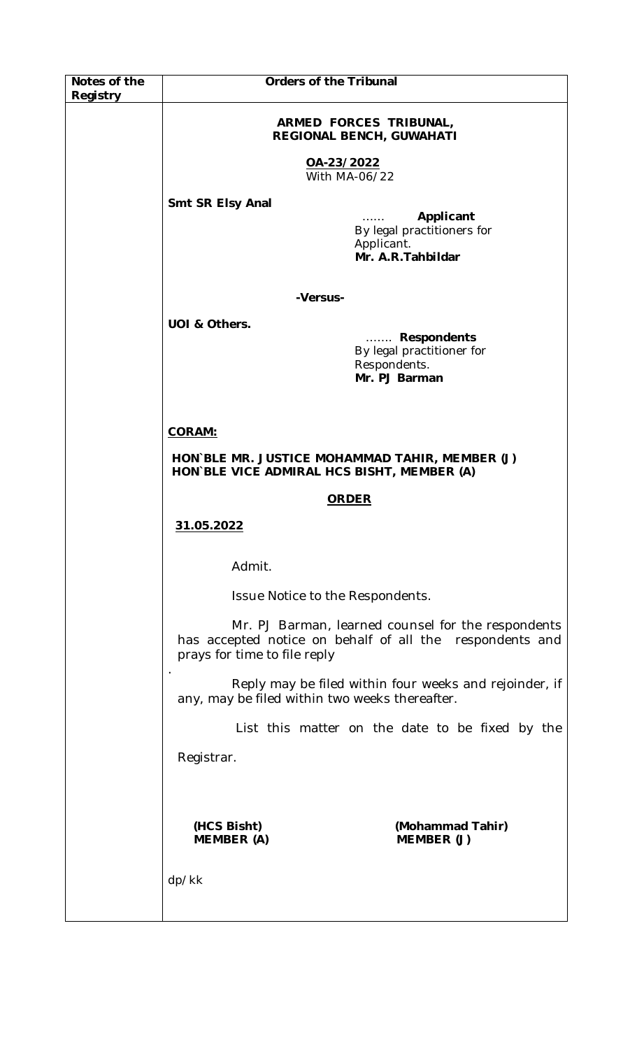| Notes of the | <b>Orders of the Tribunal</b>                                                                |                                                                                                                |
|--------------|----------------------------------------------------------------------------------------------|----------------------------------------------------------------------------------------------------------------|
| Registry     |                                                                                              |                                                                                                                |
|              | ARMED FORCES TRIBUNAL,<br>REGIONAL BENCH, GUWAHATI                                           |                                                                                                                |
|              | OA-23/2022<br>With MA-06/22                                                                  |                                                                                                                |
|              | Smt SR Elsy Anal                                                                             |                                                                                                                |
|              |                                                                                              | Applicant<br>By legal practitioners for<br>Applicant.<br>Mr. A.R. Tahbildar                                    |
|              | -Versus-                                                                                     |                                                                                                                |
|              | UOI & Others.                                                                                |                                                                                                                |
|              |                                                                                              | Respondents<br>By legal practitioner for<br>Respondents.<br>Mr. PJ Barman                                      |
|              | <b>CORAM:</b>                                                                                |                                                                                                                |
|              | HON BLE MR. JUSTICE MOHAMMAD TAHIR, MEMBER (J)<br>HON BLE VICE ADMIRAL HCS BISHT, MEMBER (A) |                                                                                                                |
|              | <b>ORDER</b>                                                                                 |                                                                                                                |
|              | 31.05.2022                                                                                   |                                                                                                                |
|              | Admit.                                                                                       |                                                                                                                |
|              | Issue Notice to the Respondents.                                                             |                                                                                                                |
|              | prays for time to file reply                                                                 | Mr. PJ Barman, learned counsel for the respondents<br>has accepted notice on behalf of all the respondents and |
|              | any, may be filed within two weeks thereafter.                                               | Reply may be filed within four weeks and rejoinder, if                                                         |
|              |                                                                                              | List this matter on the date to be fixed by the                                                                |
|              | Registrar.                                                                                   |                                                                                                                |
|              |                                                                                              |                                                                                                                |
|              | (HCS Bisht)<br><b>MEMBER (A)</b>                                                             | (Mohammad Tahir)<br>MEMBER (J)                                                                                 |
|              | dp/kk                                                                                        |                                                                                                                |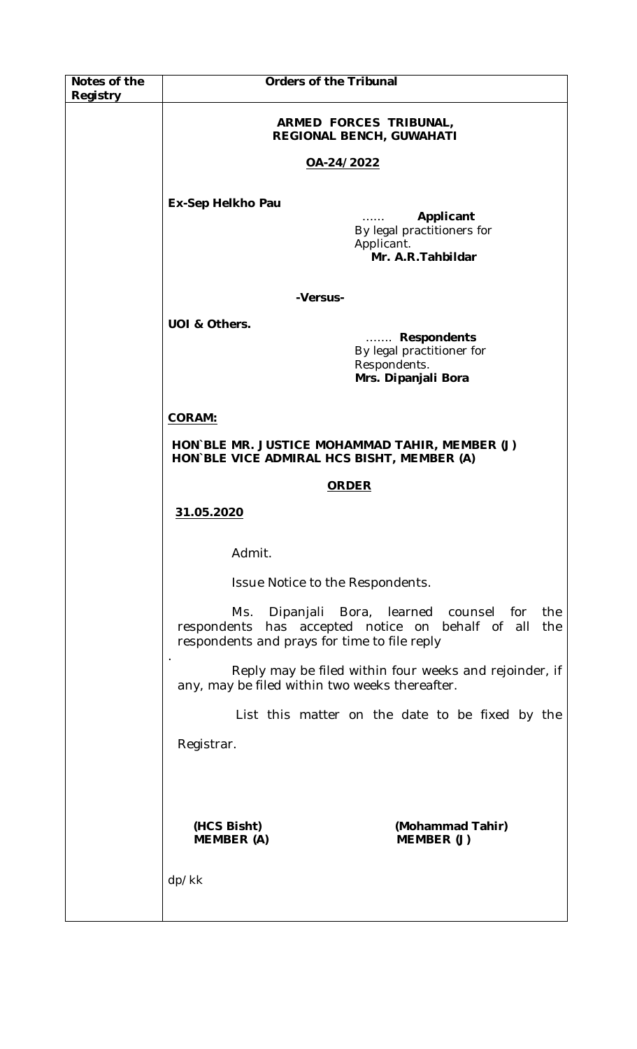| Notes of the<br>Registry | <b>Orders of the Tribunal</b>                                                                |                                                                                                          |
|--------------------------|----------------------------------------------------------------------------------------------|----------------------------------------------------------------------------------------------------------|
|                          | ARMED FORCES TRIBUNAL,<br>REGIONAL BENCH, GUWAHATI                                           |                                                                                                          |
|                          | OA-24/2022                                                                                   |                                                                                                          |
|                          | Ex-Sep Helkho Pau                                                                            | Applicant<br>By legal practitioners for<br>Applicant.<br>Mr. A.R. Tahbildar                              |
|                          | -Versus-                                                                                     |                                                                                                          |
|                          | UOI & Others.                                                                                | <b>Respondents</b><br>1.1.1.1.1.1<br>By legal practitioner for<br>Respondents.<br>Mrs. Dipanjali Bora    |
|                          | <b>CORAM:</b>                                                                                |                                                                                                          |
|                          | HON BLE MR. JUSTICE MOHAMMAD TAHIR, MEMBER (J)<br>HON BLE VICE ADMIRAL HCS BISHT, MEMBER (A) |                                                                                                          |
|                          | <b>ORDER</b>                                                                                 |                                                                                                          |
|                          | 31.05.2020                                                                                   |                                                                                                          |
|                          | Admit.                                                                                       |                                                                                                          |
|                          | Issue Notice to the Respondents.                                                             |                                                                                                          |
|                          | Ms.<br>respondents and prays for time to file reply                                          | Dipanjali Bora, learned counsel<br>for<br>the<br>respondents has accepted notice on behalf of all<br>the |
|                          | any, may be filed within two weeks thereafter.                                               | Reply may be filed within four weeks and rejoinder, if                                                   |
|                          | List this matter on the date to be fixed by the                                              |                                                                                                          |
|                          | Registrar.                                                                                   |                                                                                                          |
|                          |                                                                                              |                                                                                                          |
|                          | (HCS Bisht)<br><b>MEMBER (A)</b>                                                             | (Mohammad Tahir)<br>MEMBER (J)                                                                           |
|                          | dp/kk                                                                                        |                                                                                                          |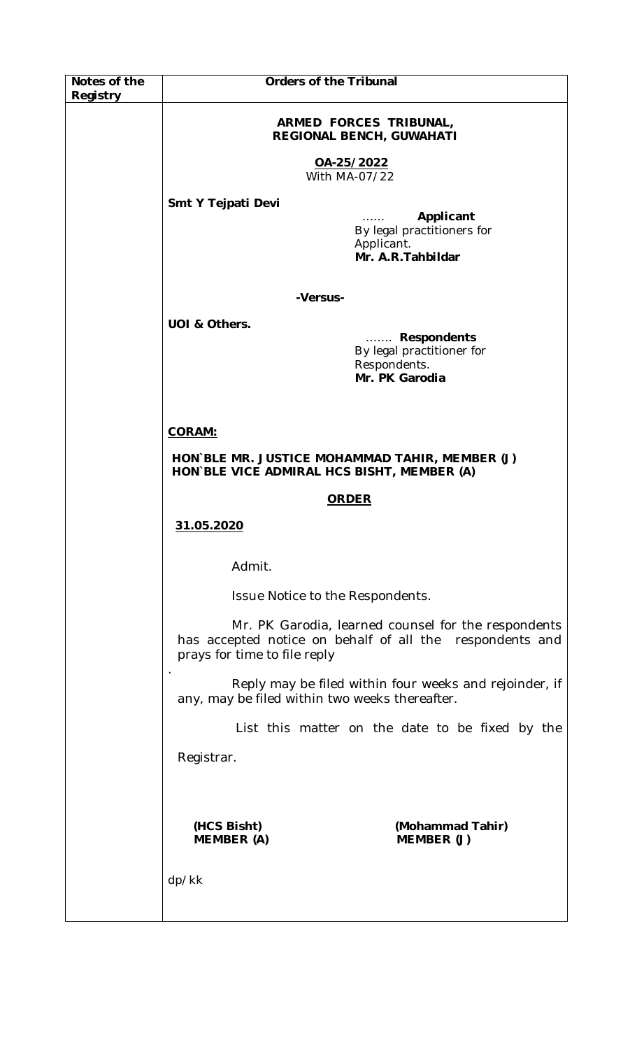| Notes of the | <b>Orders of the Tribunal</b>                                                                |                                                                                                                 |  |
|--------------|----------------------------------------------------------------------------------------------|-----------------------------------------------------------------------------------------------------------------|--|
| Registry     |                                                                                              |                                                                                                                 |  |
|              | ARMED FORCES TRIBUNAL,<br><b>REGIONAL BENCH, GUWAHATI</b>                                    |                                                                                                                 |  |
|              | OA-25/2022<br>With MA-07/22                                                                  |                                                                                                                 |  |
|              | Smt Y Tejpati Devi                                                                           |                                                                                                                 |  |
|              |                                                                                              | Applicant<br>1.1.1.1.1<br>By legal practitioners for<br>Applicant.<br>Mr. A.R. Tahbildar                        |  |
|              | -Versus-                                                                                     |                                                                                                                 |  |
|              | UOI & Others.                                                                                |                                                                                                                 |  |
|              |                                                                                              | Respondents<br>By legal practitioner for<br>Respondents.<br>Mr. PK Garodia                                      |  |
|              | <b>CORAM:</b>                                                                                |                                                                                                                 |  |
|              | HON`BLE MR. JUSTICE MOHAMMAD TAHIR, MEMBER (J)<br>HON BLE VICE ADMIRAL HCS BISHT, MEMBER (A) |                                                                                                                 |  |
|              | <b>ORDER</b>                                                                                 |                                                                                                                 |  |
|              | 31.05.2020                                                                                   |                                                                                                                 |  |
|              | Admit.                                                                                       |                                                                                                                 |  |
|              | Issue Notice to the Respondents.                                                             |                                                                                                                 |  |
|              | prays for time to file reply                                                                 | Mr. PK Garodia, learned counsel for the respondents<br>has accepted notice on behalf of all the respondents and |  |
|              | any, may be filed within two weeks thereafter.                                               | Reply may be filed within four weeks and rejoinder, if                                                          |  |
|              |                                                                                              | List this matter on the date to be fixed by the                                                                 |  |
|              | Registrar.                                                                                   |                                                                                                                 |  |
|              |                                                                                              |                                                                                                                 |  |
|              | (HCS Bisht)<br><b>MEMBER (A)</b>                                                             | (Mohammad Tahir)<br>MEMBER (J)                                                                                  |  |
|              | dp/kk                                                                                        |                                                                                                                 |  |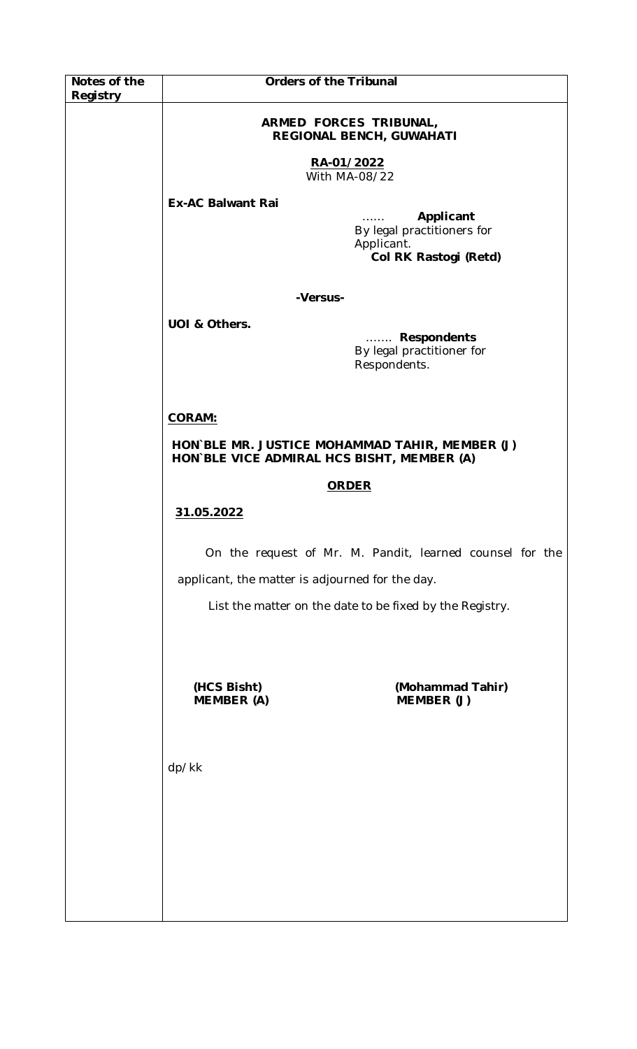| Notes of the | <b>Orders of the Tribunal</b>                                                                |                                                                                |
|--------------|----------------------------------------------------------------------------------------------|--------------------------------------------------------------------------------|
| Registry     |                                                                                              |                                                                                |
|              | ARMED FORCES TRIBUNAL,<br>REGIONAL BENCH, GUWAHATI                                           |                                                                                |
|              | RA-01/2022<br>With MA-08/22                                                                  |                                                                                |
|              | <b>Ex-AC Balwant Rai</b>                                                                     | Applicant<br>By legal practitioners for<br>Applicant.<br>Col RK Rastogi (Retd) |
|              | -Versus-                                                                                     |                                                                                |
|              | UOI & Others.                                                                                | Respondents<br>By legal practitioner for<br>Respondents.                       |
|              | <b>CORAM:</b>                                                                                |                                                                                |
|              | HON BLE MR. JUSTICE MOHAMMAD TAHIR, MEMBER (J)<br>HON BLE VICE ADMIRAL HCS BISHT, MEMBER (A) |                                                                                |
|              | <b>ORDER</b>                                                                                 |                                                                                |
|              | 31.05.2022                                                                                   |                                                                                |
|              |                                                                                              | On the request of Mr. M. Pandit, learned counsel for the                       |
|              | applicant, the matter is adjourned for the day.                                              |                                                                                |
|              |                                                                                              | List the matter on the date to be fixed by the Registry.                       |
|              | (HCS Bisht)<br><b>MEMBER (A)</b>                                                             | (Mohammad Tahir)<br>MEMBER (J)                                                 |
|              | dp/kk                                                                                        |                                                                                |
|              |                                                                                              |                                                                                |
|              |                                                                                              |                                                                                |
|              |                                                                                              |                                                                                |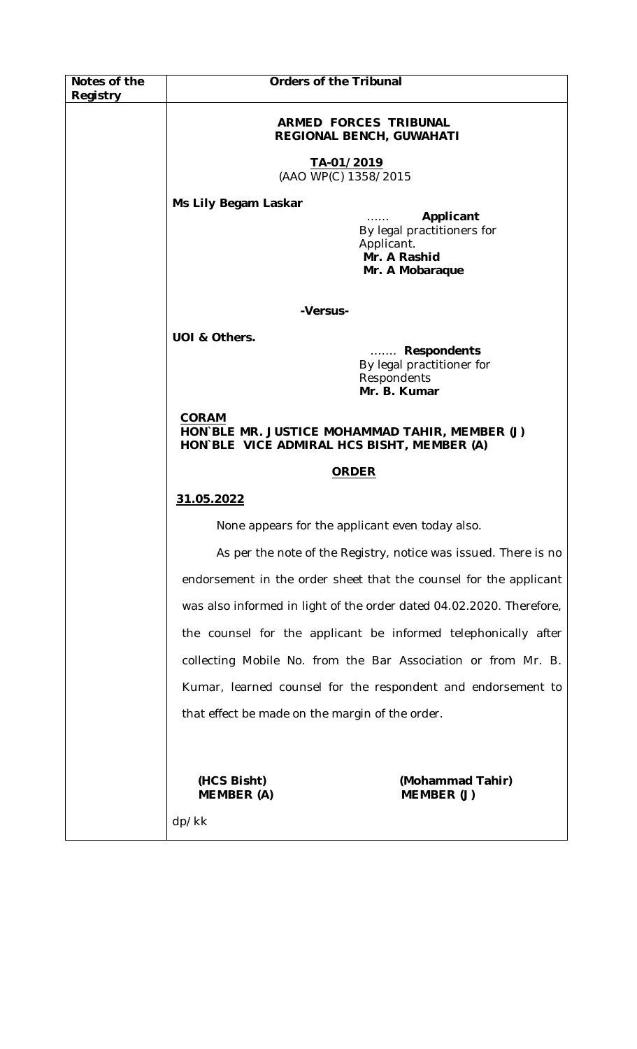| Notes of the | <b>Orders of the Tribunal</b>                                                                                |                                                                         |  |
|--------------|--------------------------------------------------------------------------------------------------------------|-------------------------------------------------------------------------|--|
| Registry     |                                                                                                              |                                                                         |  |
|              | <b>ARMED FORCES TRIBUNAL</b><br><b>REGIONAL BENCH, GUWAHATI</b>                                              |                                                                         |  |
|              | TA-01/2019<br>(AAO WP(C) 1358/2015                                                                           |                                                                         |  |
|              | Ms Lily Begam Laskar                                                                                         |                                                                         |  |
|              | Applicant<br>By legal practitioners for<br>Applicant.<br>Mr. A Rashid<br>Mr. A Mobaraque                     |                                                                         |  |
|              | -Versus-                                                                                                     |                                                                         |  |
|              | UOI & Others.                                                                                                |                                                                         |  |
|              |                                                                                                              | Respondents<br>By legal practitioner for<br>Respondents<br>Mr. B. Kumar |  |
|              | <b>CORAM</b><br>HON BLE MR. JUSTICE MOHAMMAD TAHIR, MEMBER (J)<br>HON BLE VICE ADMIRAL HCS BISHT, MEMBER (A) |                                                                         |  |
|              | <b>ORDER</b>                                                                                                 |                                                                         |  |
|              | 31.05.2022                                                                                                   |                                                                         |  |
|              | None appears for the applicant even today also.                                                              |                                                                         |  |
|              |                                                                                                              | As per the note of the Registry, notice was issued. There is no         |  |
|              |                                                                                                              | endorsement in the order sheet that the counsel for the applicant       |  |
|              | was also informed in light of the order dated 04.02.2020. Therefore,                                         |                                                                         |  |
|              | the counsel for the applicant be informed telephonically after                                               |                                                                         |  |
|              |                                                                                                              | collecting Mobile No. from the Bar Association or from Mr. B.           |  |
|              | Kumar, learned counsel for the respondent and endorsement to                                                 |                                                                         |  |
|              | that effect be made on the margin of the order.                                                              |                                                                         |  |
|              |                                                                                                              |                                                                         |  |
|              | (HCS Bisht)<br><b>MEMBER (A)</b>                                                                             | (Mohammad Tahir)<br>MEMBER (J)                                          |  |
|              | dp/kk                                                                                                        |                                                                         |  |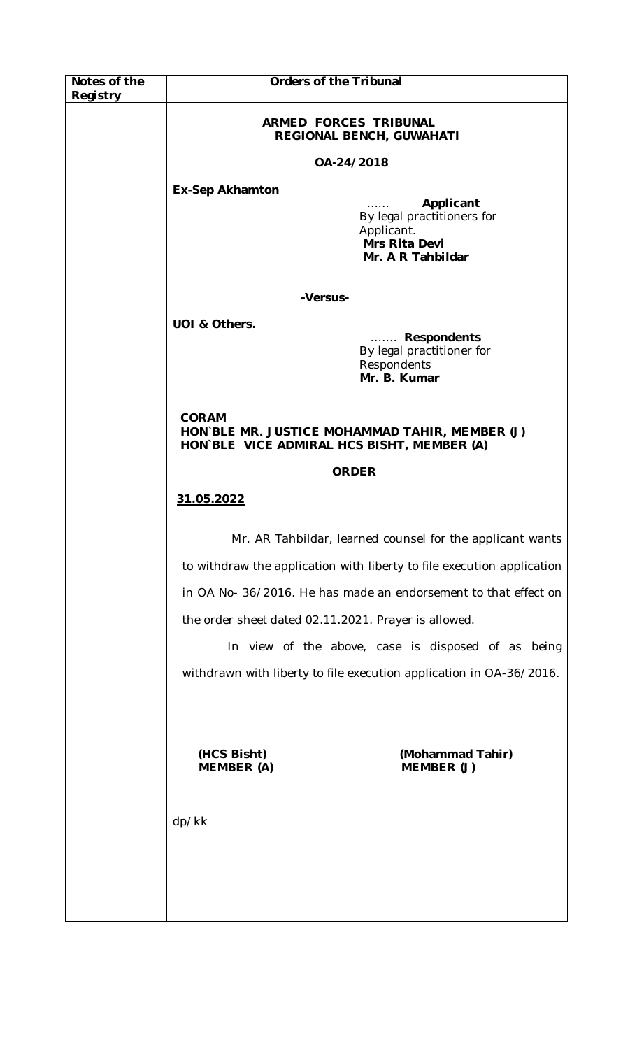| Notes of the | <b>Orders of the Tribunal</b>                                                                                |  |
|--------------|--------------------------------------------------------------------------------------------------------------|--|
| Registry     |                                                                                                              |  |
|              | ARMED FORCES TRIBUNAL<br>REGIONAL BENCH, GUWAHATI                                                            |  |
|              | OA-24/2018                                                                                                   |  |
|              | <b>Ex-Sep Akhamton</b>                                                                                       |  |
|              | Applicant<br>By legal practitioners for<br>Applicant.<br>Mrs Rita Devi<br>Mr. A R Tahbildar                  |  |
|              | -Versus-                                                                                                     |  |
|              | UOI & Others.                                                                                                |  |
|              | Respondents<br>By legal practitioner for<br>Respondents<br>Mr. B. Kumar                                      |  |
|              | <b>CORAM</b><br>HON`BLE MR. JUSTICE MOHAMMAD TAHIR, MEMBER (J)<br>HON BLE VICE ADMIRAL HCS BISHT, MEMBER (A) |  |
|              | <b>ORDER</b>                                                                                                 |  |
|              | 31.05.2022                                                                                                   |  |
|              | Mr. AR Tahbildar, learned counsel for the applicant wants                                                    |  |
|              | to withdraw the application with liberty to file execution application                                       |  |
|              | in OA No- 36/2016. He has made an endorsement to that effect on                                              |  |
|              | the order sheet dated 02.11.2021. Prayer is allowed.                                                         |  |
|              | In view of the above, case is disposed of as being                                                           |  |
|              | withdrawn with liberty to file execution application in OA-36/2016.                                          |  |
|              |                                                                                                              |  |
|              | (Mohammad Tahir)<br>(HCS Bisht)<br><b>MEMBER (A)</b><br>MEMBER (J)                                           |  |
|              | dp/kk                                                                                                        |  |
|              |                                                                                                              |  |
|              |                                                                                                              |  |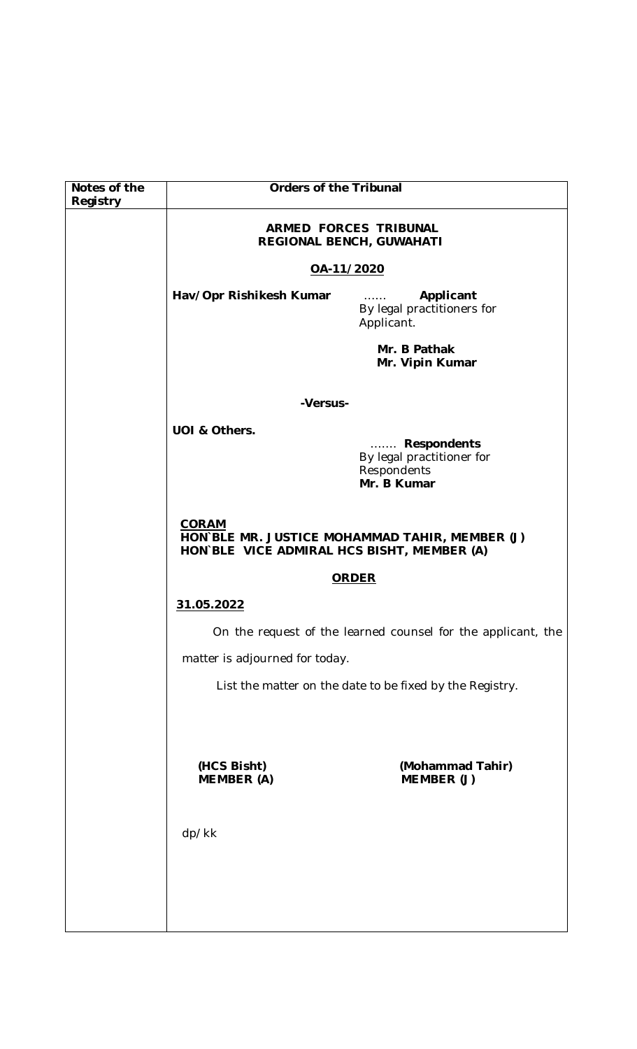| Notes of the | <b>Orders of the Tribunal</b>                                                                                |                                |
|--------------|--------------------------------------------------------------------------------------------------------------|--------------------------------|
| Registry     | ARMED FORCES TRIBUNAL<br><b>REGIONAL BENCH, GUWAHATI</b>                                                     |                                |
|              | OA-11/2020                                                                                                   |                                |
|              | Hav/Opr Rishikesh Kumar<br>Applicant<br>1.1.1.1.1<br>By legal practitioners for<br>Applicant.                |                                |
|              | Mr. B Pathak<br>Mr. Vipin Kumar                                                                              |                                |
|              | -Versus-                                                                                                     |                                |
|              | UOI & Others.<br>Respondents<br>By legal practitioner for<br>Respondents<br>Mr. B Kumar                      |                                |
|              | <b>CORAM</b><br>HON`BLE MR. JUSTICE MOHAMMAD TAHIR, MEMBER (J)<br>HON BLE VICE ADMIRAL HCS BISHT, MEMBER (A) |                                |
|              |                                                                                                              | <b>ORDER</b>                   |
|              | 31.05.2022                                                                                                   |                                |
|              | On the request of the learned counsel for the applicant, the                                                 |                                |
|              | matter is adjourned for today.                                                                               |                                |
|              | List the matter on the date to be fixed by the Registry.                                                     |                                |
|              |                                                                                                              |                                |
|              | (HCS Bisht)<br><b>MEMBER (A)</b>                                                                             | (Mohammad Tahir)<br>MEMBER (J) |
|              | dp/kk                                                                                                        |                                |
|              |                                                                                                              |                                |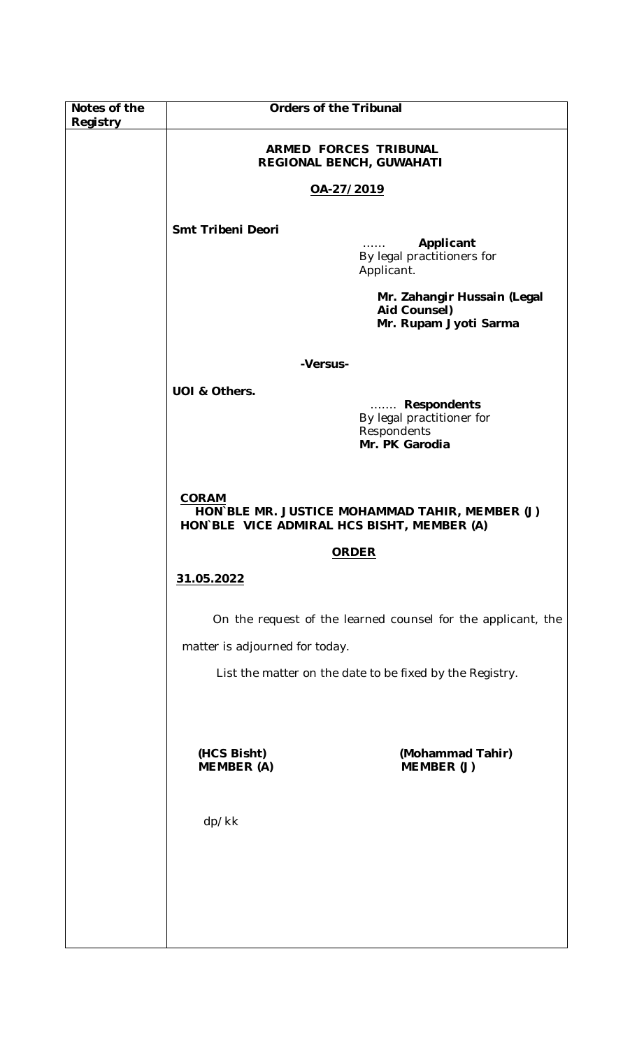| Notes of the | <b>Orders of the Tribunal</b>                     |                                                                                              |
|--------------|---------------------------------------------------|----------------------------------------------------------------------------------------------|
| Registry     | ARMED FORCES TRIBUNAL<br>REGIONAL BENCH, GUWAHATI |                                                                                              |
|              | OA-27/2019                                        |                                                                                              |
|              |                                                   |                                                                                              |
|              | Smt Tribeni Deori                                 | Applicant<br>By legal practitioners for<br>Applicant.                                        |
|              |                                                   | Mr. Zahangir Hussain (Legal<br>Aid Counsel)<br>Mr. Rupam Jyoti Sarma                         |
|              |                                                   | -Versus-                                                                                     |
|              | UOI & Others.                                     |                                                                                              |
|              |                                                   | <b>Respondents</b><br>.<br>By legal practitioner for<br>Respondents<br>Mr. PK Garodia        |
|              | <b>CORAM</b>                                      | HON`BLE MR. JUSTICE MOHAMMAD TAHIR, MEMBER (J)<br>HON BLE VICE ADMIRAL HCS BISHT, MEMBER (A) |
|              |                                                   | <b>ORDER</b>                                                                                 |
|              | 31.05.2022                                        |                                                                                              |
|              |                                                   | On the request of the learned counsel for the applicant, the                                 |
|              | matter is adjourned for today.                    |                                                                                              |
|              |                                                   | List the matter on the date to be fixed by the Registry.                                     |
|              |                                                   |                                                                                              |
|              | (HCS Bisht)<br><b>MEMBER (A)</b>                  | (Mohammad Tahir)<br>MEMBER (J)                                                               |
|              | dp/kk                                             |                                                                                              |
|              |                                                   |                                                                                              |
|              |                                                   |                                                                                              |
|              |                                                   |                                                                                              |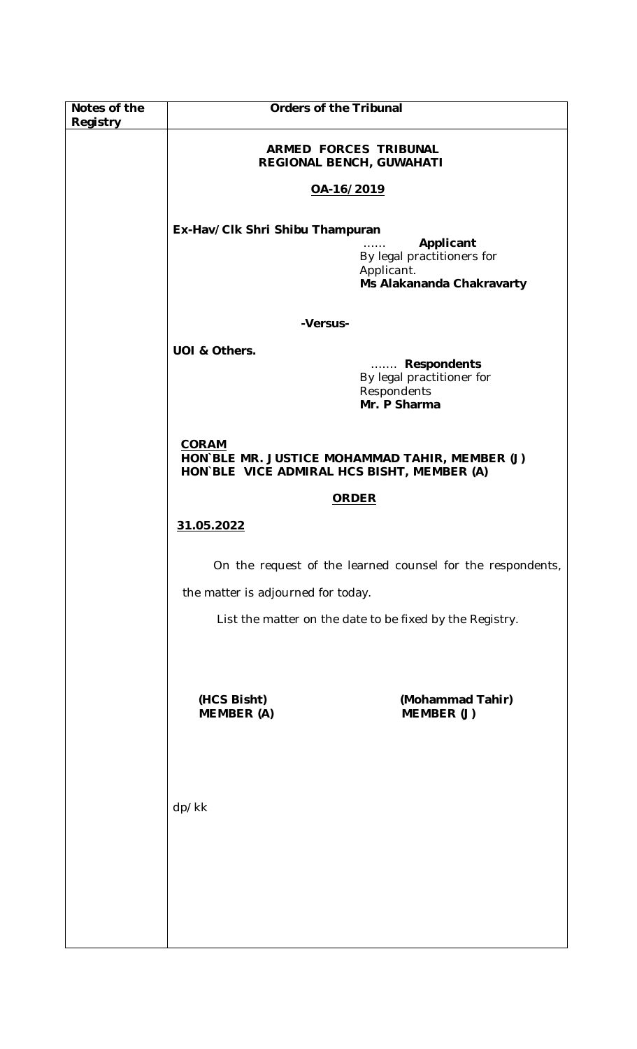| Notes of the<br>Registry | <b>Orders of the Tribunal</b>                                                                                         |  |
|--------------------------|-----------------------------------------------------------------------------------------------------------------------|--|
|                          | <b>ARMED FORCES TRIBUNAL</b><br>REGIONAL BENCH, GUWAHATI                                                              |  |
|                          | OA-16/2019                                                                                                            |  |
|                          | Ex-Hav/Clk Shri Shibu Thampuran<br>Applicant<br>By legal practitioners for<br>Applicant.<br>Ms Alakananda Chakravarty |  |
|                          | -Versus-                                                                                                              |  |
|                          | UOI & Others.<br>Respondents<br>By legal practitioner for<br>Respondents<br>Mr. P Sharma                              |  |
|                          | <b>CORAM</b><br>HON`BLE MR. JUSTICE MOHAMMAD TAHIR, MEMBER (J)<br>HON BLE VICE ADMIRAL HCS BISHT, MEMBER (A)          |  |
|                          | <b>ORDER</b>                                                                                                          |  |
|                          | 31.05.2022                                                                                                            |  |
|                          | On the request of the learned counsel for the respondents,                                                            |  |
|                          | the matter is adjourned for today.                                                                                    |  |
|                          | List the matter on the date to be fixed by the Registry.                                                              |  |
|                          | (Mohammad Tahir)<br>(HCS Bisht)                                                                                       |  |
|                          | MEMBER (J)<br><b>MEMBER (A)</b>                                                                                       |  |
|                          |                                                                                                                       |  |
|                          | dp/kk                                                                                                                 |  |
|                          |                                                                                                                       |  |
|                          |                                                                                                                       |  |
|                          |                                                                                                                       |  |
|                          |                                                                                                                       |  |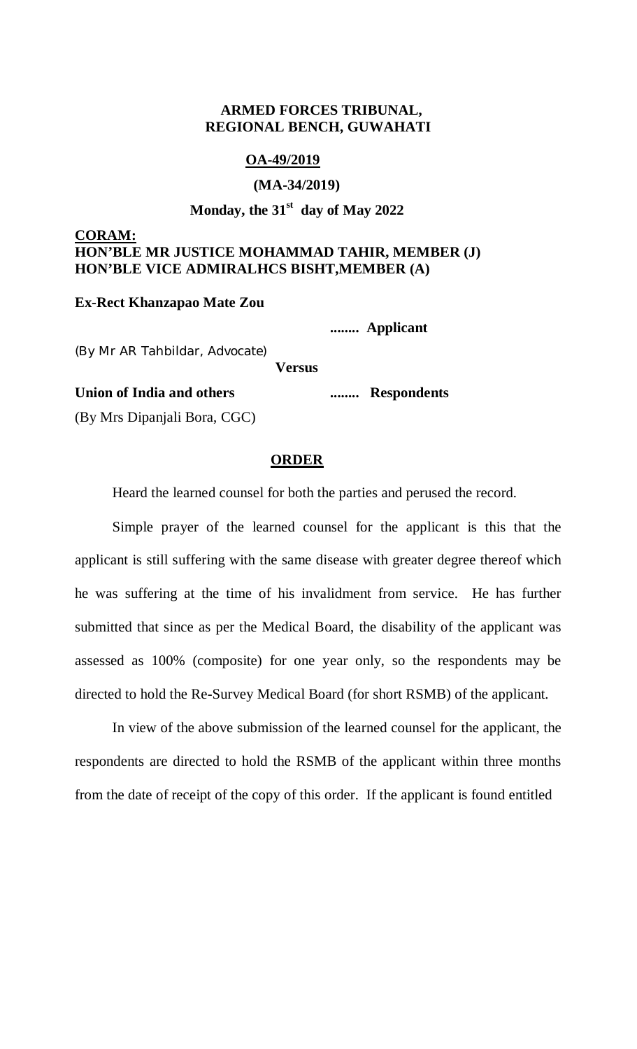# **ARMED FORCES TRIBUNAL, REGIONAL BENCH, GUWAHATI**

### **OA-49/2019**

### **(MA-34/2019)**

# **Monday, the 31st day of May 2022**

# **CORAM: HON'BLE MR JUSTICE MOHAMMAD TAHIR, MEMBER (J) HON'BLE VICE ADMIRALHCS BISHT,MEMBER (A)**

#### **Ex-Rect Khanzapao Mate Zou**

 **........ Applicant**

(By Mr AR Tahbildar, Advocate)

**Versus**

### **Union of India and others ........ Respondents**

(By Mrs Dipanjali Bora, CGC)

#### **ORDER**

Heard the learned counsel for both the parties and perused the record.

Simple prayer of the learned counsel for the applicant is this that the applicant is still suffering with the same disease with greater degree thereof which he was suffering at the time of his invalidment from service. He has further submitted that since as per the Medical Board, the disability of the applicant was assessed as 100% (composite) for one year only, so the respondents may be directed to hold the Re-Survey Medical Board (for short RSMB) of the applicant.

In view of the above submission of the learned counsel for the applicant, the respondents are directed to hold the RSMB of the applicant within three months from the date of receipt of the copy of this order. If the applicant is found entitled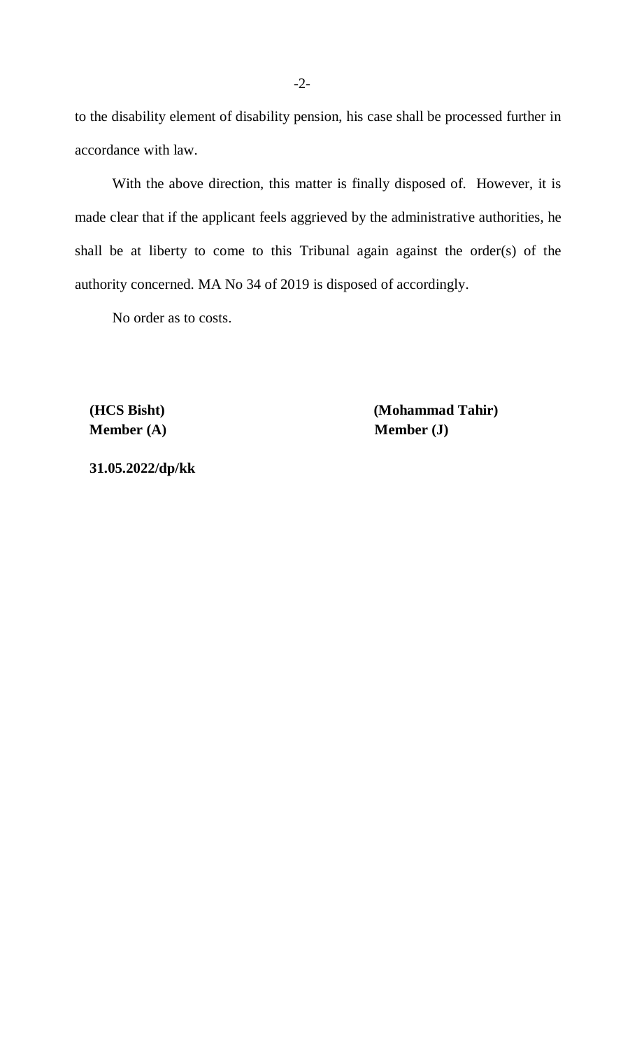to the disability element of disability pension, his case shall be processed further in accordance with law.

With the above direction, this matter is finally disposed of. However, it is made clear that if the applicant feels aggrieved by the administrative authorities, he shall be at liberty to come to this Tribunal again against the order(s) of the authority concerned. MA No 34 of 2019 is disposed of accordingly.

No order as to costs.

**Member (A)** Member (J)

 **(HCS Bisht) (Mohammad Tahir)**

 **31.05.2022/dp/kk**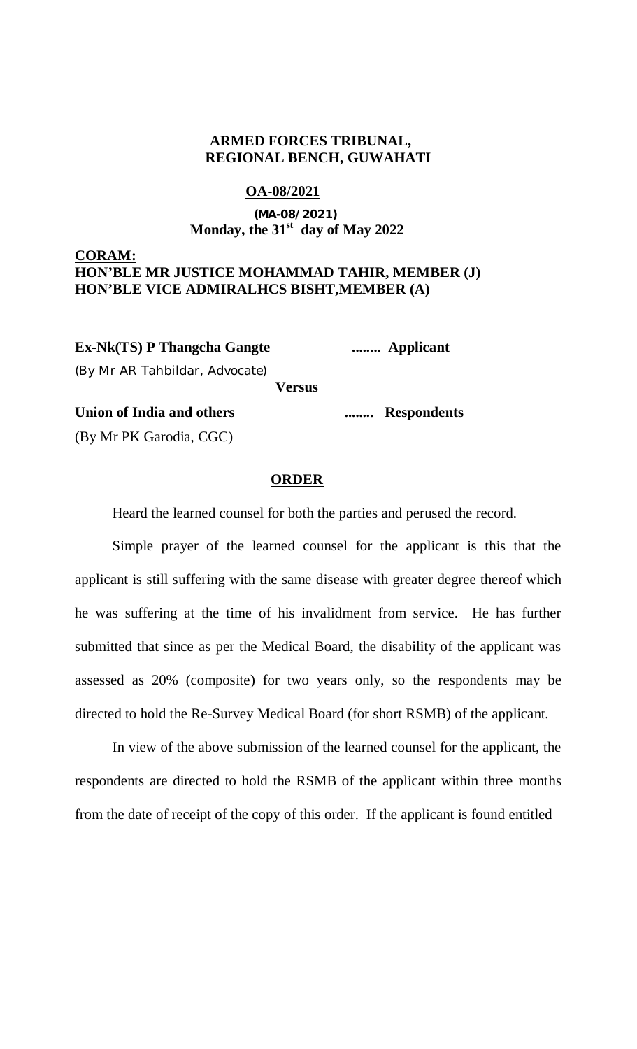## **ARMED FORCES TRIBUNAL, REGIONAL BENCH, GUWAHATI**

### **OA-08/2021**

# **(MA-08/2021) Monday, the 31st day of May 2022**

### **CORAM: HON'BLE MR JUSTICE MOHAMMAD TAHIR, MEMBER (J) HON'BLE VICE ADMIRALHCS BISHT,MEMBER (A)**

**Ex-Nk(TS) P Thangcha Gangte ........ Applicant**

(By Mr AR Tahbildar, Advocate)

**Versus**

**Union of India and others ........ Respondents**

(By Mr PK Garodia, CGC)

### **ORDER**

Heard the learned counsel for both the parties and perused the record.

Simple prayer of the learned counsel for the applicant is this that the applicant is still suffering with the same disease with greater degree thereof which he was suffering at the time of his invalidment from service. He has further submitted that since as per the Medical Board, the disability of the applicant was assessed as 20% (composite) for two years only, so the respondents may be directed to hold the Re-Survey Medical Board (for short RSMB) of the applicant.

In view of the above submission of the learned counsel for the applicant, the respondents are directed to hold the RSMB of the applicant within three months from the date of receipt of the copy of this order. If the applicant is found entitled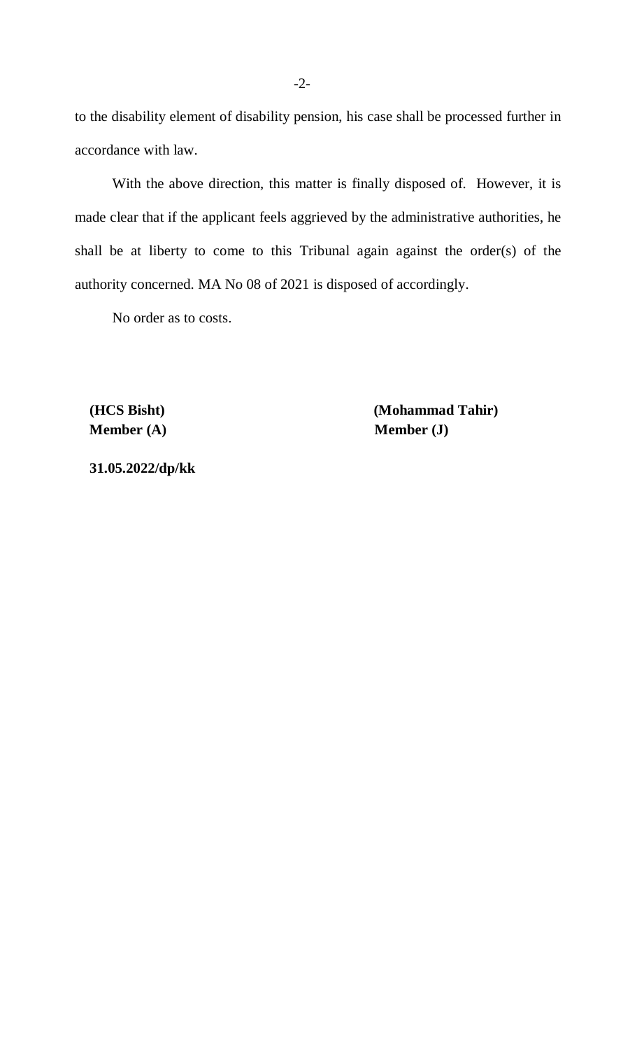to the disability element of disability pension, his case shall be processed further in accordance with law.

With the above direction, this matter is finally disposed of. However, it is made clear that if the applicant feels aggrieved by the administrative authorities, he shall be at liberty to come to this Tribunal again against the order(s) of the authority concerned. MA No 08 of 2021 is disposed of accordingly.

No order as to costs.

**Member (A)** Member (J)

 **(HCS Bisht) (Mohammad Tahir)**

 **31.05.2022/dp/kk**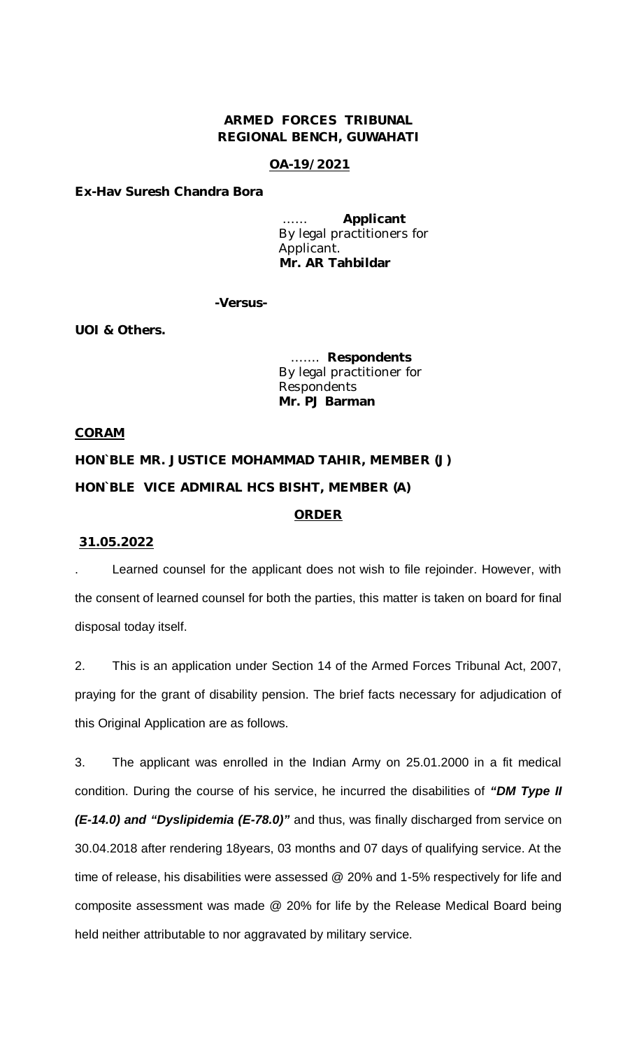### **ARMED FORCES TRIBUNAL REGIONAL BENCH, GUWAHATI**

### **OA-19/2021**

**Ex-Hav Suresh Chandra Bora**

…… **Applicant** By legal practitioners for Applicant. **Mr. AR Tahbildar**

**-Versus-**

**UOI & Others.**

 ……. **Respondents** By legal practitioner for Respondents  **Mr. PJ Barman**

#### **CORAM**

**HON`BLE MR. JUSTICE MOHAMMAD TAHIR, MEMBER (J) HON`BLE VICE ADMIRAL HCS BISHT, MEMBER (A)**

### **ORDER**

#### **31.05.2022**

Learned counsel for the applicant does not wish to file rejoinder. However, with the consent of learned counsel for both the parties, this matter is taken on board for final disposal today itself.

2. This is an application under Section 14 of the Armed Forces Tribunal Act, 2007, praying for the grant of disability pension. The brief facts necessary for adjudication of this Original Application are as follows.

3. The applicant was enrolled in the Indian Army on 25.01.2000 in a fit medical condition. During the course of his service, he incurred the disabilities of *"DM Type II (E-14.0) and "Dyslipidemia (E-78.0)"* and thus, was finally discharged from service on 30.04.2018 after rendering 18years, 03 months and 07 days of qualifying service. At the time of release, his disabilities were assessed @ 20% and 1-5% respectively for life and composite assessment was made @ 20% for life by the Release Medical Board being held neither attributable to nor aggravated by military service.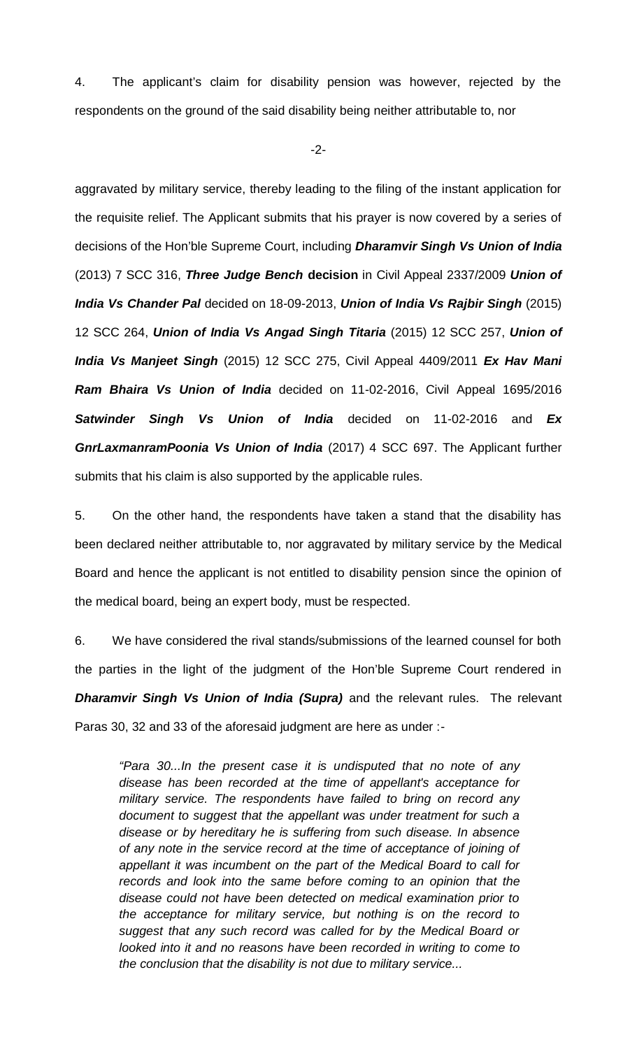4. The applicant's claim for disability pension was however, rejected by the respondents on the ground of the said disability being neither attributable to, nor

-2-

aggravated by military service, thereby leading to the filing of the instant application for the requisite relief. The Applicant submits that his prayer is now covered by a series of decisions of the Hon'ble Supreme Court, including *Dharamvir Singh Vs Union of India* (2013) 7 SCC 316, *Three Judge Bench* **decision** in Civil Appeal 2337/2009 *Union of India Vs Chander Pal* decided on 18-09-2013, *Union of India Vs Rajbir Singh* (2015) 12 SCC 264, *Union of India Vs Angad Singh Titaria* (2015) 12 SCC 257, *Union of India Vs Manjeet Singh* (2015) 12 SCC 275, Civil Appeal 4409/2011 *Ex Hav Mani Ram Bhaira Vs Union of India* decided on 11-02-2016, Civil Appeal 1695/2016 *Satwinder Singh Vs Union of India* decided on 11-02-2016 and *Ex GnrLaxmanramPoonia Vs Union of India* (2017) 4 SCC 697. The Applicant further submits that his claim is also supported by the applicable rules.

5. On the other hand, the respondents have taken a stand that the disability has been declared neither attributable to, nor aggravated by military service by the Medical Board and hence the applicant is not entitled to disability pension since the opinion of the medical board, being an expert body, must be respected.

6. We have considered the rival stands/submissions of the learned counsel for both the parties in the light of the judgment of the Hon'ble Supreme Court rendered in *Dharamvir Singh Vs Union of India (Supra)* and the relevant rules. The relevant Paras 30, 32 and 33 of the aforesaid judgment are here as under :-

*"Para 30...In the present case it is undisputed that no note of any disease has been recorded at the time of appellant's acceptance for military service. The respondents have failed to bring on record any document to suggest that the appellant was under treatment for such a disease or by hereditary he is suffering from such disease. In absence of any note in the service record at the time of acceptance of joining of appellant it was incumbent on the part of the Medical Board to call for records and look into the same before coming to an opinion that the disease could not have been detected on medical examination prior to the acceptance for military service, but nothing is on the record to suggest that any such record was called for by the Medical Board or looked into it and no reasons have been recorded in writing to come to the conclusion that the disability is not due to military service...*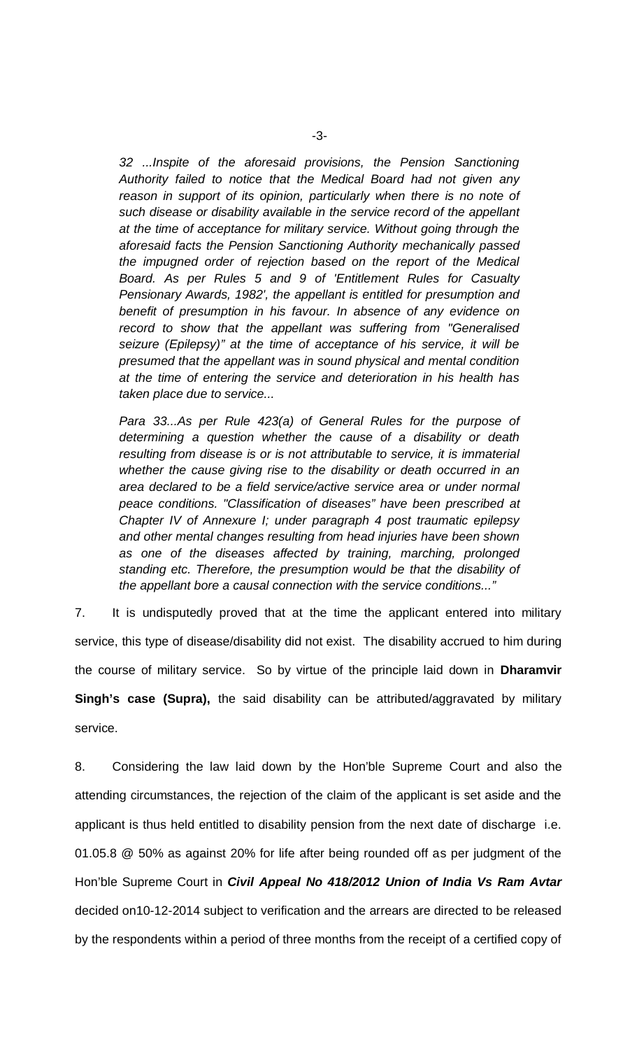*32 ...Inspite of the aforesaid provisions, the Pension Sanctioning Authority failed to notice that the Medical Board had not given any*  reason in support of its opinion, particularly when there is no note of *such disease or disability available in the service record of the appellant at the time of acceptance for military service. Without going through the aforesaid facts the Pension Sanctioning Authority mechanically passed the impugned order of rejection based on the report of the Medical Board. As per Rules 5 and 9 of 'Entitlement Rules for Casualty Pensionary Awards, 1982', the appellant is entitled for presumption and benefit of presumption in his favour. In absence of any evidence on record to show that the appellant was suffering from "Generalised seizure (Epilepsy)" at the time of acceptance of his service, it will be presumed that the appellant was in sound physical and mental condition at the time of entering the service and deterioration in his health has taken place due to service...*

*Para 33...As per Rule 423(a) of General Rules for the purpose of determining a question whether the cause of a disability or death resulting from disease is or is not attributable to service, it is immaterial whether the cause giving rise to the disability or death occurred in an area declared to be a field service/active service area or under normal peace conditions. "Classification of diseases" have been prescribed at Chapter IV of Annexure I; under paragraph 4 post traumatic epilepsy and other mental changes resulting from head injuries have been shown as one of the diseases affected by training, marching, prolonged standing etc. Therefore, the presumption would be that the disability of the appellant bore a causal connection with the service conditions..."*

7. It is undisputedly proved that at the time the applicant entered into military service, this type of disease/disability did not exist. The disability accrued to him during the course of military service. So by virtue of the principle laid down in **Dharamvir Singh's case (Supra),** the said disability can be attributed/aggravated by military service.

8. Considering the law laid down by the Hon'ble Supreme Court and also the attending circumstances, the rejection of the claim of the applicant is set aside and the applicant is thus held entitled to disability pension from the next date of discharge i.e. 01.05.8 @ 50% as against 20% for life after being rounded off as per judgment of the Hon'ble Supreme Court in *Civil Appeal No 418/2012 Union of India Vs Ram Avtar*  decided on10-12-2014 subject to verification and the arrears are directed to be released by the respondents within a period of three months from the receipt of a certified copy of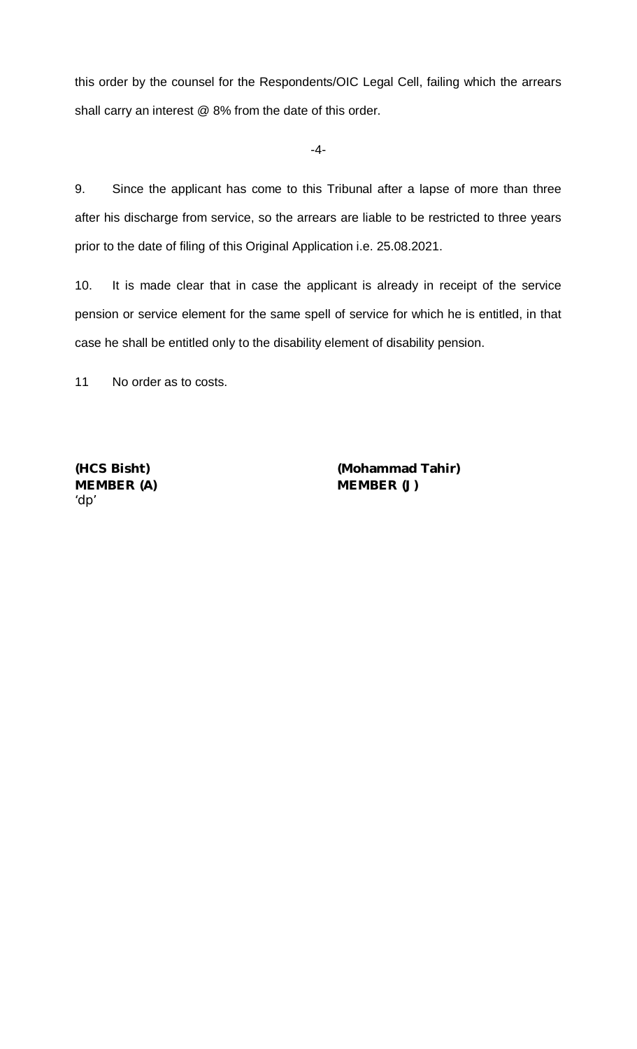this order by the counsel for the Respondents/OIC Legal Cell, failing which the arrears shall carry an interest @ 8% from the date of this order.

-4-

9. Since the applicant has come to this Tribunal after a lapse of more than three after his discharge from service, so the arrears are liable to be restricted to three years prior to the date of filing of this Original Application i.e. 25.08.2021.

10. It is made clear that in case the applicant is already in receipt of the service pension or service element for the same spell of service for which he is entitled, in that case he shall be entitled only to the disability element of disability pension.

11 No order as to costs.

'dp'

**(HCS Bisht) (Mohammad Tahir)** MEMBER (A) **MEMBER (J)**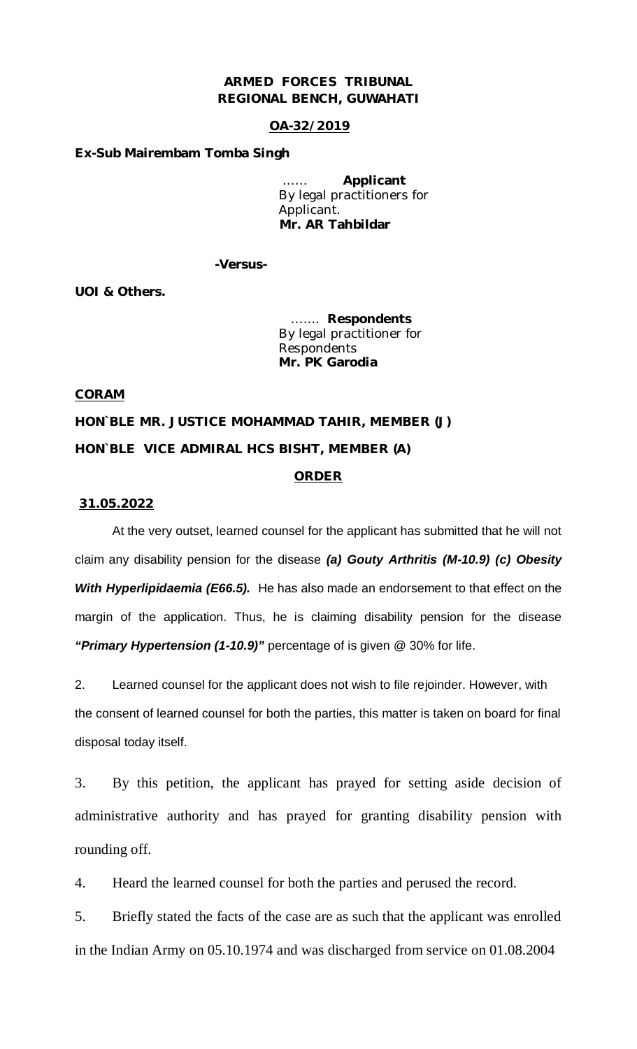### **ARMED FORCES TRIBUNAL REGIONAL BENCH, GUWAHATI**

### **OA-32/2019**

#### **Ex-Sub Mairembam Tomba Singh**

…… **Applicant** By legal practitioners for Applicant. **Mr. AR Tahbildar**

**-Versus-**

**UOI & Others.**

 ……. **Respondents** By legal practitioner for Respondents  **Mr. PK Garodia**

#### **CORAM**

**HON`BLE MR. JUSTICE MOHAMMAD TAHIR, MEMBER (J) HON`BLE VICE ADMIRAL HCS BISHT, MEMBER (A)**

### **ORDER**

#### **31.05.2022**

At the very outset, learned counsel for the applicant has submitted that he will not claim any disability pension for the disease *(a) Gouty Arthritis (M-10.9) (c) Obesity With Hyperlipidaemia (E66.5).* He has also made an endorsement to that effect on the margin of the application. Thus, he is claiming disability pension for the disease *"Primary Hypertension (1-10.9)"* percentage of is given @ 30% for life.

2. Learned counsel for the applicant does not wish to file rejoinder. However, with the consent of learned counsel for both the parties, this matter is taken on board for final disposal today itself.

3. By this petition, the applicant has prayed for setting aside decision of administrative authority and has prayed for granting disability pension with rounding off.

4. Heard the learned counsel for both the parties and perused the record.

5. Briefly stated the facts of the case are as such that the applicant was enrolled in the Indian Army on 05.10.1974 and was discharged from service on 01.08.2004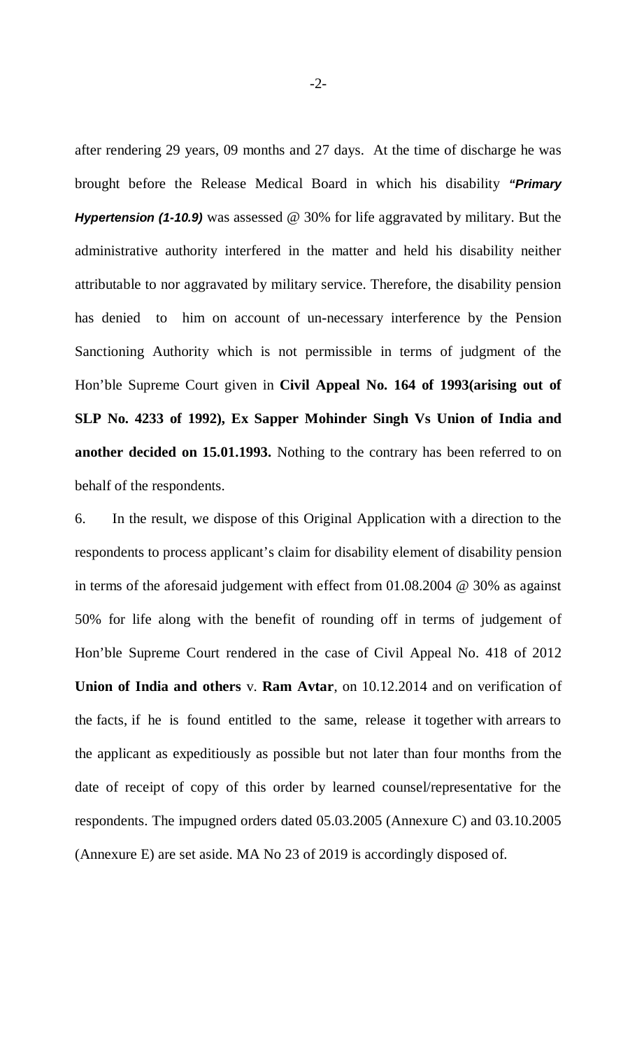after rendering 29 years, 09 months and 27 days. At the time of discharge he was brought before the Release Medical Board in which his disability *"Primary Hypertension (1-10.9)* was assessed @ 30% for life aggravated by military. But the administrative authority interfered in the matter and held his disability neither attributable to nor aggravated by military service. Therefore, the disability pension has denied to him on account of un-necessary interference by the Pension Sanctioning Authority which is not permissible in terms of judgment of the Hon'ble Supreme Court given in **Civil Appeal No. 164 of 1993(arising out of SLP No. 4233 of 1992), Ex Sapper Mohinder Singh Vs Union of India and another decided on 15.01.1993.** Nothing to the contrary has been referred to on behalf of the respondents.

6. In the result, we dispose of this Original Application with a direction to the respondents to process applicant's claim for disability element of disability pension in terms of the aforesaid judgement with effect from 01.08.2004 @ 30% as against 50% for life along with the benefit of rounding off in terms of judgement of Hon'ble Supreme Court rendered in the case of Civil Appeal No. 418 of 2012 **Union of India and others** v. **Ram Avtar**, on 10.12.2014 and on verification of the facts, if he is found entitled to the same, release it together with arrears to the applicant as expeditiously as possible but not later than four months from the date of receipt of copy of this order by learned counsel/representative for the respondents. The impugned orders dated 05.03.2005 (Annexure C) and 03.10.2005 (Annexure E) are set aside. MA No 23 of 2019 is accordingly disposed of.